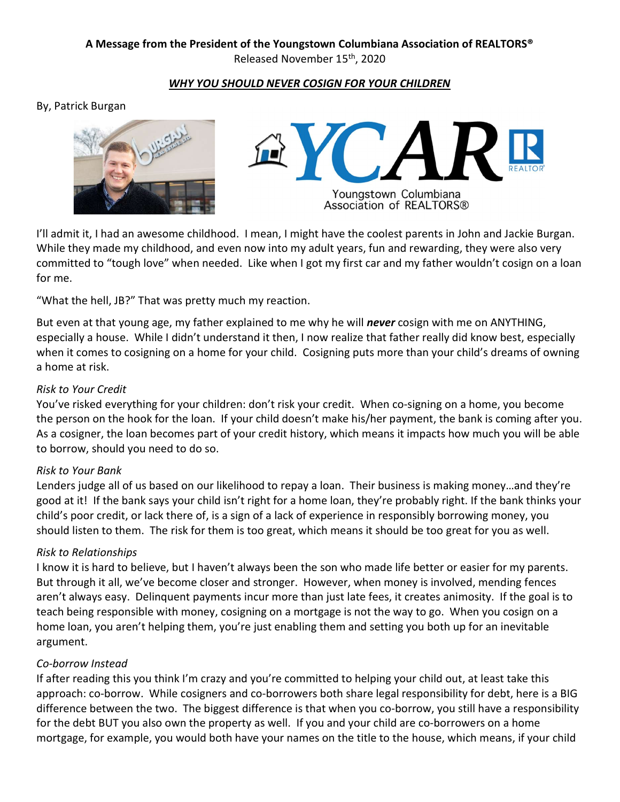# **A Message from the President of the Youngstown Columbiana Association of REALTORS®**

Released November 15th, 2020

#### *WHY YOU SHOULD NEVER COSIGN FOR YOUR CHILDREN*

#### By, Patrick Burgan





I'll admit it, I had an awesome childhood. I mean, I might have the coolest parents in John and Jackie Burgan. While they made my childhood, and even now into my adult years, fun and rewarding, they were also very committed to "tough love" when needed. Like when I got my first car and my father wouldn't cosign on a loan for me.

"What the hell, JB?" That was pretty much my reaction.

But even at that young age, my father explained to me why he will *never* cosign with me on ANYTHING, especially a house. While I didn't understand it then, I now realize that father really did know best, especially when it comes to cosigning on a home for your child. Cosigning puts more than your child's dreams of owning a home at risk.

### *Risk to Your Credit*

You've risked everything for your children: don't risk your credit. When co-signing on a home, you become the person on the hook for the loan. If your child doesn't make his/her payment, the bank is coming after you. As a cosigner, the loan becomes part of your credit history, which means it impacts how much you will be able to borrow, should you need to do so.

#### *Risk to Your Bank*

Lenders judge all of us based on our likelihood to repay a loan. Their business is making money…and they're good at it! If the bank says your child isn't right for a home loan, they're probably right. If the bank thinks your child's poor credit, or lack there of, is a sign of a lack of experience in responsibly borrowing money, you should listen to them. The risk for them is too great, which means it should be too great for you as well.

## *Risk to Relationships*

I know it is hard to believe, but I haven't always been the son who made life better or easier for my parents. But through it all, we've become closer and stronger. However, when money is involved, mending fences aren't always easy. Delinquent payments incur more than just late fees, it creates animosity. If the goal is to teach being responsible with money, cosigning on a mortgage is not the way to go. When you cosign on a home loan, you aren't helping them, you're just enabling them and setting you both up for an inevitable argument.

## *Co-borrow Instead*

If after reading this you think I'm crazy and you're committed to helping your child out, at least take this approach: co-borrow. While cosigners and co-borrowers both share legal responsibility for debt, here is a BIG difference between the two. The biggest difference is that when you co-borrow, you still have a responsibility for the debt BUT you also own the property as well. If you and your child are co-borrowers on a home mortgage, for example, you would both have your names on the title to the house, which means, if your child